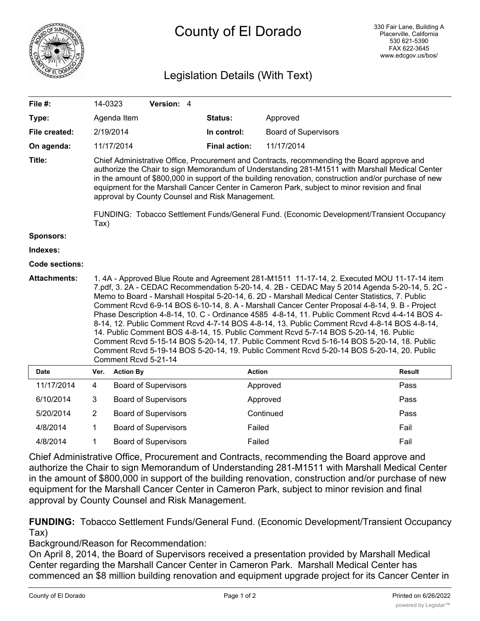

## County of El Dorado

## Legislation Details (With Text)

| File #:               | 14-0323                                                                                                                                                                                                                                                                                                                                                                                                                                                                                                                                                                                                                                                                                                                                                                                                                                                                                                       |                  | Version: 4                  |  |                      |                             |  |               |
|-----------------------|---------------------------------------------------------------------------------------------------------------------------------------------------------------------------------------------------------------------------------------------------------------------------------------------------------------------------------------------------------------------------------------------------------------------------------------------------------------------------------------------------------------------------------------------------------------------------------------------------------------------------------------------------------------------------------------------------------------------------------------------------------------------------------------------------------------------------------------------------------------------------------------------------------------|------------------|-----------------------------|--|----------------------|-----------------------------|--|---------------|
| Type:                 |                                                                                                                                                                                                                                                                                                                                                                                                                                                                                                                                                                                                                                                                                                                                                                                                                                                                                                               | Agenda Item      |                             |  | Status:              | Approved                    |  |               |
| File created:         |                                                                                                                                                                                                                                                                                                                                                                                                                                                                                                                                                                                                                                                                                                                                                                                                                                                                                                               | 2/19/2014        |                             |  | In control:          | <b>Board of Supervisors</b> |  |               |
| On agenda:            |                                                                                                                                                                                                                                                                                                                                                                                                                                                                                                                                                                                                                                                                                                                                                                                                                                                                                                               | 11/17/2014       |                             |  | <b>Final action:</b> | 11/17/2014                  |  |               |
| Title:                | Chief Administrative Office, Procurement and Contracts, recommending the Board approve and<br>authorize the Chair to sign Memorandum of Understanding 281-M1511 with Marshall Medical Center<br>in the amount of \$800,000 in support of the building renovation, construction and/or purchase of new<br>equipment for the Marshall Cancer Center in Cameron Park, subject to minor revision and final<br>approval by County Counsel and Risk Management.<br>FUNDING: Tobacco Settlement Funds/General Fund. (Economic Development/Transient Occupancy                                                                                                                                                                                                                                                                                                                                                        |                  |                             |  |                      |                             |  |               |
|                       | Tax)                                                                                                                                                                                                                                                                                                                                                                                                                                                                                                                                                                                                                                                                                                                                                                                                                                                                                                          |                  |                             |  |                      |                             |  |               |
| Sponsors:             |                                                                                                                                                                                                                                                                                                                                                                                                                                                                                                                                                                                                                                                                                                                                                                                                                                                                                                               |                  |                             |  |                      |                             |  |               |
| Indexes:              |                                                                                                                                                                                                                                                                                                                                                                                                                                                                                                                                                                                                                                                                                                                                                                                                                                                                                                               |                  |                             |  |                      |                             |  |               |
| <b>Code sections:</b> |                                                                                                                                                                                                                                                                                                                                                                                                                                                                                                                                                                                                                                                                                                                                                                                                                                                                                                               |                  |                             |  |                      |                             |  |               |
| <b>Attachments:</b>   | 1.4A - Approved Blue Route and Agreement 281-M1511 11-17-14, 2. Executed MOU 11-17-14 item<br>7.pdf, 3. 2A - CEDAC Recommendation 5-20-14, 4. 2B - CEDAC May 5 2014 Agenda 5-20-14, 5. 2C -<br>Memo to Board - Marshall Hospital 5-20-14, 6. 2D - Marshall Medical Center Statistics, 7. Public<br>Comment Rcvd 6-9-14 BOS 6-10-14, 8. A - Marshall Cancer Center Proposal 4-8-14, 9. B - Project<br>Phase Description 4-8-14, 10. C - Ordinance 4585 4-8-14, 11. Public Comment Rcvd 4-4-14 BOS 4-<br>8-14, 12. Public Comment Rcvd 4-7-14 BOS 4-8-14, 13. Public Comment Rcvd 4-8-14 BOS 4-8-14,<br>14. Public Comment BOS 4-8-14, 15. Public Comment Rcvd 5-7-14 BOS 5-20-14, 16. Public<br>Comment Rcvd 5-15-14 BOS 5-20-14, 17. Public Comment Rcvd 5-16-14 BOS 5-20-14, 18. Public<br>Comment Rcvd 5-19-14 BOS 5-20-14, 19. Public Comment Rcvd 5-20-14 BOS 5-20-14, 20. Public<br>Comment Rcvd 5-21-14 |                  |                             |  |                      |                             |  |               |
| <b>Date</b>           | Ver.                                                                                                                                                                                                                                                                                                                                                                                                                                                                                                                                                                                                                                                                                                                                                                                                                                                                                                          | <b>Action By</b> |                             |  |                      | <b>Action</b>               |  | <b>Result</b> |
| 11/17/2014            | 4                                                                                                                                                                                                                                                                                                                                                                                                                                                                                                                                                                                                                                                                                                                                                                                                                                                                                                             |                  | <b>Board of Supervisors</b> |  |                      | Approved                    |  | Pass          |
| 6/10/2014             | 3                                                                                                                                                                                                                                                                                                                                                                                                                                                                                                                                                                                                                                                                                                                                                                                                                                                                                                             |                  | <b>Board of Supervisors</b> |  |                      | Approved                    |  | Pass          |
| 5/20/2014             | $\overline{2}$                                                                                                                                                                                                                                                                                                                                                                                                                                                                                                                                                                                                                                                                                                                                                                                                                                                                                                |                  | <b>Board of Supervisors</b> |  |                      | Continued                   |  | Pass          |
| 4/8/2014              | $\mathbf 1$                                                                                                                                                                                                                                                                                                                                                                                                                                                                                                                                                                                                                                                                                                                                                                                                                                                                                                   |                  | <b>Board of Supervisors</b> |  |                      | Failed                      |  | Fail          |
| 4/8/2014              | 1                                                                                                                                                                                                                                                                                                                                                                                                                                                                                                                                                                                                                                                                                                                                                                                                                                                                                                             |                  | <b>Board of Supervisors</b> |  |                      | Failed                      |  | Fail          |

Chief Administrative Office, Procurement and Contracts, recommending the Board approve and authorize the Chair to sign Memorandum of Understanding 281-M1511 with Marshall Medical Center in the amount of \$800,000 in support of the building renovation, construction and/or purchase of new equipment for the Marshall Cancer Center in Cameron Park, subject to minor revision and final approval by County Counsel and Risk Management.

**FUNDING:** Tobacco Settlement Funds/General Fund. (Economic Development/Transient Occupancy Tax)

Background/Reason for Recommendation:

On April 8, 2014, the Board of Supervisors received a presentation provided by Marshall Medical Center regarding the Marshall Cancer Center in Cameron Park. Marshall Medical Center has commenced an \$8 million building renovation and equipment upgrade project for its Cancer Center in